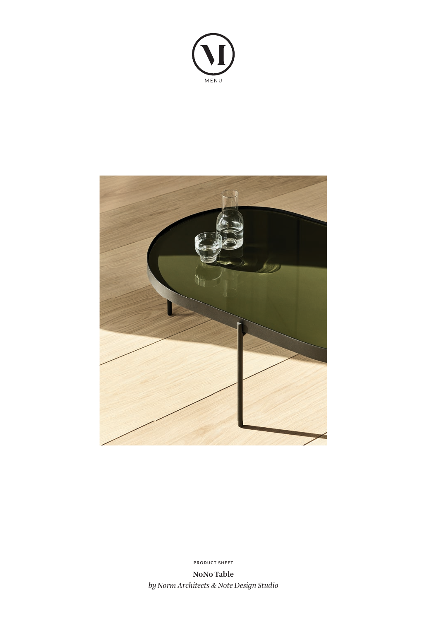



**PRODUCT SHEET**

**NoNo Table** *by Norm Architects & Note Design Studio*